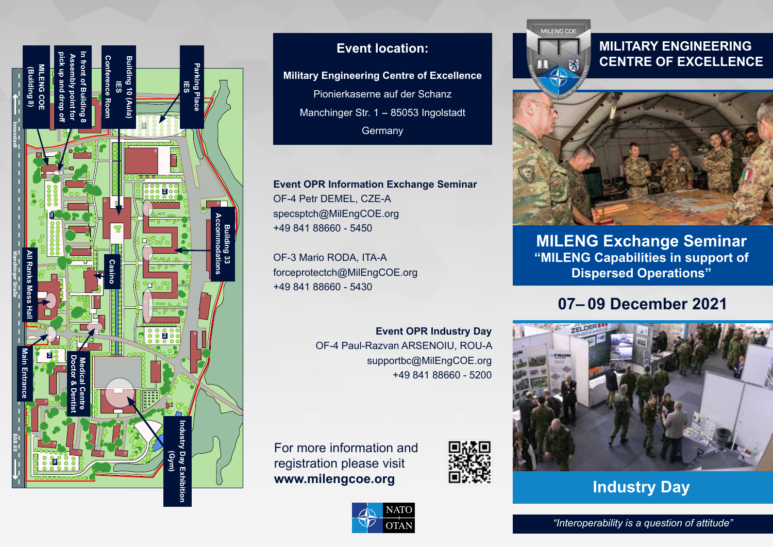

### **Event location:**

**Military Engineering Centre of Excellence** Pionierkaserne auf der Schanz Manchinger Str. 1 − 85053 Ingolstadt **Germany** 

**Event OPR Information Exchange Seminar** OF-4 Petr DEMEL, CZE-A specsptch@MilEngCOE.org +49 841 88660 - 5450

OF-3 Mario RODA, ITA-A forceprotectch@MilEngCOE.org +49 841 88660 - 5430

> **Event OPR Industry Day** OF-4 Paul-Razvan ARSENOIU, ROU-A supportbc@MilEngCOE.org +49 841 88660 - 5200

For more information and registration please visit **www.milengcoe.org**





### **MILITARY ENGINEERING CENTRE OF EXCELLENCE**



**MILENG Exchange Seminar "MILENG Capabilities in support of Dispersed Operations"**

# **07– 09 December 2021**



**Industry Day**